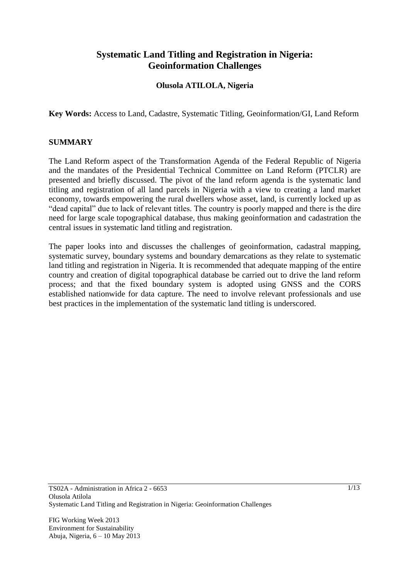## **Systematic Land Titling and Registration in Nigeria: Geoinformation Challenges**

### **Olusola ATILOLA, Nigeria**

**Key Words:** Access to Land, Cadastre, Systematic Titling, Geoinformation/GI, Land Reform

#### **SUMMARY**

The Land Reform aspect of the Transformation Agenda of the Federal Republic of Nigeria and the mandates of the Presidential Technical Committee on Land Reform (PTCLR) are presented and briefly discussed. The pivot of the land reform agenda is the systematic land titling and registration of all land parcels in Nigeria with a view to creating a land market economy, towards empowering the rural dwellers whose asset, land, is currently locked up as "dead capital" due to lack of relevant titles. The country is poorly mapped and there is the dire need for large scale topographical database, thus making geoinformation and cadastration the central issues in systematic land titling and registration.

The paper looks into and discusses the challenges of geoinformation, cadastral mapping, systematic survey, boundary systems and boundary demarcations as they relate to systematic land titling and registration in Nigeria. It is recommended that adequate mapping of the entire country and creation of digital topographical database be carried out to drive the land reform process; and that the fixed boundary system is adopted using GNSS and the CORS established nationwide for data capture. The need to involve relevant professionals and use best practices in the implementation of the systematic land titling is underscored.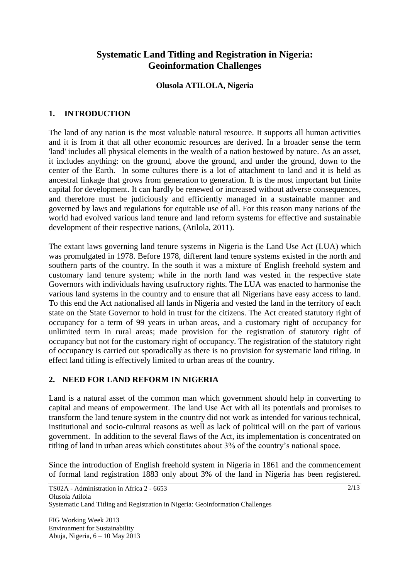## **Systematic Land Titling and Registration in Nigeria: Geoinformation Challenges**

#### **Olusola ATILOLA, Nigeria**

### **1. INTRODUCTION**

The land of any nation is the most valuable natural resource. It supports all human activities and it is from it that all other economic resources are derived. In a broader sense the term 'land' includes all physical elements in the wealth of a nation bestowed by nature. As an asset, it includes anything: on the ground, above the ground, and under the ground, down to the center of the Earth. In some cultures there is a lot of attachment to land and it is held as ancestral linkage that grows from generation to generation. It is the most important but finite capital for development. It can hardly be renewed or increased without adverse consequences, and therefore must be judiciously and efficiently managed in a sustainable manner and governed by laws and regulations for equitable use of all. For this reason many nations of the world had evolved various land tenure and land reform systems for effective and sustainable development of their respective nations, (Atilola, 2011).

The extant laws governing land tenure systems in Nigeria is the Land Use Act (LUA) which was promulgated in 1978. Before 1978, different land tenure systems existed in the north and southern parts of the country. In the south it was a mixture of English freehold system and customary land tenure system; while in the north land was vested in the respective state Governors with individuals having usufructory rights. The LUA was enacted to harmonise the various land systems in the country and to ensure that all Nigerians have easy access to land. To this end the Act nationalised all lands in Nigeria and vested the land in the territory of each state on the State Governor to hold in trust for the citizens. The Act created statutory right of occupancy for a term of 99 years in urban areas, and a customary right of occupancy for unlimited term in rural areas; made provision for the registration of statutory right of occupancy but not for the customary right of occupancy. The registration of the statutory right of occupancy is carried out sporadically as there is no provision for systematic land titling. In effect land titling is effectively limited to urban areas of the country.

### **2. NEED FOR LAND REFORM IN NIGERIA**

Land is a natural asset of the common man which government should help in converting to capital and means of empowerment. The land Use Act with all its potentials and promises to transform the land tenure system in the country did not work as intended for various technical, institutional and socio-cultural reasons as well as lack of political will on the part of various government. In addition to the several flaws of the Act, its implementation is concentrated on titling of land in urban areas which constitutes about 3% of the country's national space.

Since the introduction of English freehold system in Nigeria in 1861 and the commencement of formal land registration 1883 only about 3% of the land in Nigeria has been registered.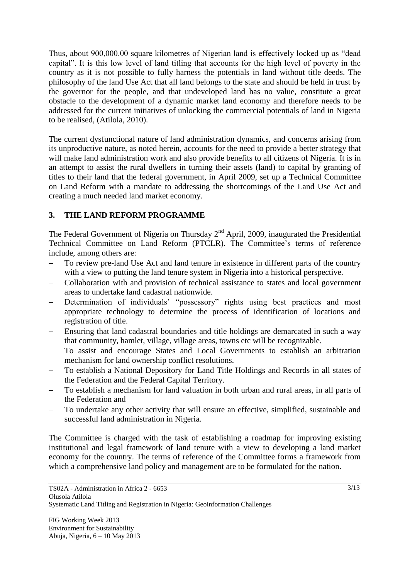Thus, about 900,000.00 square kilometres of Nigerian land is effectively locked up as "dead capital". It is this low level of land titling that accounts for the high level of poverty in the country as it is not possible to fully harness the potentials in land without title deeds. The philosophy of the land Use Act that all land belongs to the state and should be held in trust by the governor for the people, and that undeveloped land has no value, constitute a great obstacle to the development of a dynamic market land economy and therefore needs to be addressed for the current initiatives of unlocking the commercial potentials of land in Nigeria to be realised, (Atilola, 2010).

The current dysfunctional nature of land administration dynamics, and concerns arising from its unproductive nature, as noted herein, accounts for the need to provide a better strategy that will make land administration work and also provide benefits to all citizens of Nigeria. It is in an attempt to assist the rural dwellers in turning their assets (land) to capital by granting of titles to their land that the federal government, in April 2009, set up a Technical Committee on Land Reform with a mandate to addressing the shortcomings of the Land Use Act and creating a much needed land market economy.

## **3. THE LAND REFORM PROGRAMME**

The Federal Government of Nigeria on Thursday  $2<sup>nd</sup>$  April, 2009, inaugurated the Presidential Technical Committee on Land Reform (PTCLR). The Committee's terms of reference include, among others are:

- To review pre-land Use Act and land tenure in existence in different parts of the country with a view to putting the land tenure system in Nigeria into a historical perspective.
- Collaboration with and provision of technical assistance to states and local government areas to undertake land cadastral nationwide.
- Determination of individuals' "possessory" rights using best practices and most appropriate technology to determine the process of identification of locations and registration of title.
- Ensuring that land cadastral boundaries and title holdings are demarcated in such a way that community, hamlet, village, village areas, towns etc will be recognizable.
- To assist and encourage States and Local Governments to establish an arbitration mechanism for land ownership conflict resolutions.
- To establish a National Depository for Land Title Holdings and Records in all states of the Federation and the Federal Capital Territory.
- To establish a mechanism for land valuation in both urban and rural areas, in all parts of the Federation and
- To undertake any other activity that will ensure an effective, simplified, sustainable and successful land administration in Nigeria.

The Committee is charged with the task of establishing a roadmap for improving existing institutional and legal framework of land tenure with a view to developing a land market economy for the country. The terms of reference of the Committee forms a framework from which a comprehensive land policy and management are to be formulated for the nation.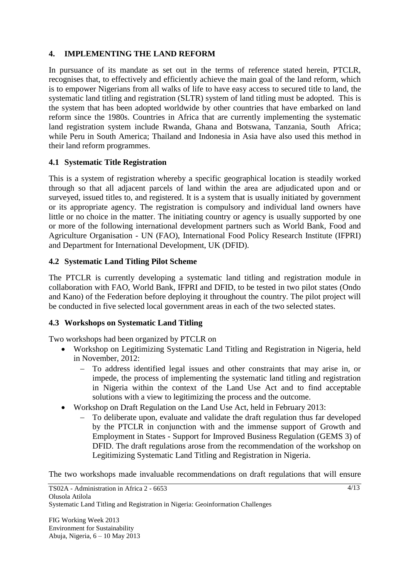### **4. IMPLEMENTING THE LAND REFORM**

In pursuance of its mandate as set out in the terms of reference stated herein, PTCLR, recognises that, to effectively and efficiently achieve the main goal of the land reform, which is to empower Nigerians from all walks of life to have easy access to secured title to land, the systematic land titling and registration (SLTR) system of land titling must be adopted. This is the system that has been adopted worldwide by other countries that have embarked on land reform since the 1980s. Countries in Africa that are currently implementing the systematic land registration system include Rwanda, Ghana and Botswana, Tanzania, South Africa; while Peru in South America; Thailand and Indonesia in Asia have also used this method in their land reform programmes.

## **4.1 Systematic Title Registration**

This is a system of registration whereby a specific geographical location is steadily worked through so that all adjacent parcels of land within the area are adjudicated upon and or surveyed, issued titles to, and registered. It is a system that is usually initiated by government or its appropriate agency. The registration is compulsory and individual land owners have little or no choice in the matter. The initiating country or agency is usually supported by one or more of the following international development partners such as World Bank, Food and Agriculture Organisation - UN (FAO), International Food Policy Research Institute (IFPRI) and Department for International Development, UK (DFID).

## **4.2 Systematic Land Titling Pilot Scheme**

The PTCLR is currently developing a systematic land titling and registration module in collaboration with FAO, World Bank, IFPRI and DFID, to be tested in two pilot states (Ondo and Kano) of the Federation before deploying it throughout the country. The pilot project will be conducted in five selected local government areas in each of the two selected states.

### **4.3 Workshops on Systematic Land Titling**

Two workshops had been organized by PTCLR on

- Workshop on Legitimizing Systematic Land Titling and Registration in Nigeria, held in November, 2012:
	- To address identified legal issues and other constraints that may arise in, or impede, the process of implementing the systematic land titling and registration in Nigeria within the context of the Land Use Act and to find acceptable solutions with a view to legitimizing the process and the outcome.
- Workshop on Draft Regulation on the Land Use Act, held in February 2013:
	- To deliberate upon, evaluate and validate the draft regulation thus far developed by the PTCLR in conjunction with and the immense support of Growth and Employment in States - Support for Improved Business Regulation (GEMS 3) of DFID. The draft regulations arose from the recommendation of the workshop on Legitimizing Systematic Land Titling and Registration in Nigeria.

The two workshops made invaluable recommendations on draft regulations that will ensure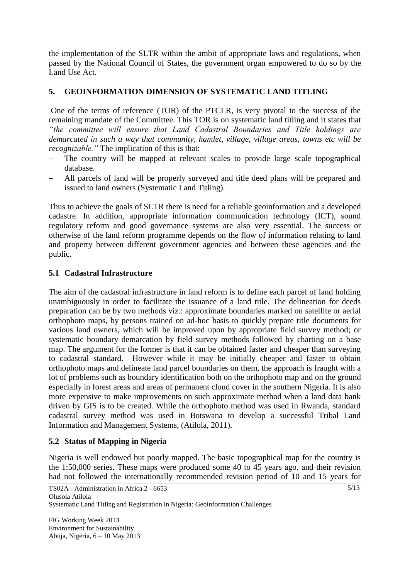the implementation of the SLTR within the ambit of appropriate laws and regulations, when passed by the National Council of States, the government organ empowered to do so by the Land Use Act.

## **5. GEOINFORMATION DIMENSION OF SYSTEMATIC LAND TITLING**

One of the terms of reference (TOR) of the PTCLR, is very pivotal to the success of the remaining mandate of the Committee. This TOR is on systematic land titling and it states that *"the committee will ensure that Land Cadastral Boundaries and Title holdings are demarcated in such a way that community, hamlet, village, village areas, towns etc will be recognizable."* The implication of this is that:

- The country will be mapped at relevant scales to provide large scale topographical database.
- All parcels of land will be properly surveyed and title deed plans will be prepared and issued to land owners (Systematic Land Titling).

Thus to achieve the goals of SLTR there is need for a reliable geoinformation and a developed cadastre. In addition, appropriate information communication technology (ICT), sound regulatory reform and good governance systems are also very essential. The success or otherwise of the land reform programme depends on the flow of information relating to land and property between different government agencies and between these agencies and the public.

## **5.1 Cadastral Infrastructure**

The aim of the cadastral infrastructure in land reform is to define each parcel of land holding unambiguously in order to facilitate the issuance of a land title. The delineation for deeds preparation can be by two methods viz.: approximate boundaries marked on satellite or aerial orthophoto maps, by persons trained on ad-hoc basis to quickly prepare title documents for various land owners, which will be improved upon by appropriate field survey method; or systematic boundary demarcation by field survey methods followed by charting on a base map. The argument for the former is that it can be obtained faster and cheaper than surveying to cadastral standard. However while it may be initially cheaper and faster to obtain orthophoto maps and delineate land parcel boundaries on them, the approach is fraught with a lot of problems such as boundary identification both on the orthophoto map and on the ground especially in forest areas and areas of permanent cloud cover in the southern Nigeria. It is also more expensive to make improvements on such approximate method when a land data bank driven by GIS is to be created. While the orthophoto method was used in Rwanda, standard cadastral survey method was used in Botswana to develop a successful Tribal Land Information and Management Systems, (Atilola, 2011).

### **5.2 Status of Mapping in Nigeria**

Nigeria is well endowed but poorly mapped. The basic topographical map for the country is the 1:50,000 series. These maps were produced some 40 to 45 years ago, and their revision had not followed the internationally recommended revision period of 10 and 15 years for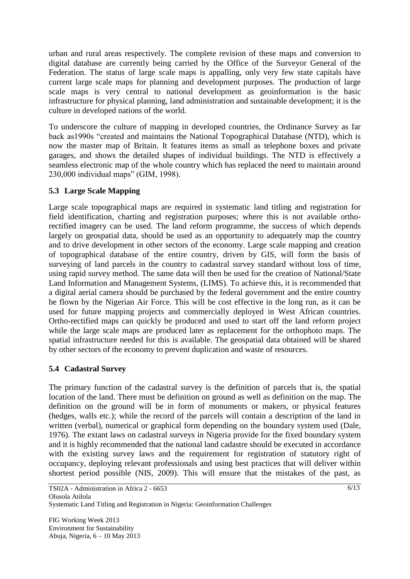urban and rural areas respectively. The complete revision of these maps and conversion to digital database are currently being carried by the Office of the Surveyor General of the Federation. The status of large scale maps is appalling, only very few state capitals have current large scale maps for planning and development purposes. The production of large scale maps is very central to national development as geoinformation is the basic infrastructure for physical planning, land administration and sustainable development; it is the culture in developed nations of the world.

To underscore the culture of mapping in developed countries, the Ordinance Survey as far back as1990s "created and maintains the National Topographical Database (NTD), which is now the master map of Britain. It features items as small as telephone boxes and private garages, and shows the detailed shapes of individual buildings. The NTD is effectively a seamless electronic map of the whole country which has replaced the need to maintain around 230,000 individual maps" (GIM, 1998).

## **5.3 Large Scale Mapping**

Large scale topographical maps are required in systematic land titling and registration for field identification, charting and registration purposes; where this is not available orthorectified imagery can be used. The land reform programme, the success of which depends largely on geospatial data, should be used as an opportunity to adequately map the country and to drive development in other sectors of the economy. Large scale mapping and creation of topographical database of the entire country, driven by GIS, will form the basis of surveying of land parcels in the country to cadastral survey standard without loss of time, using rapid survey method. The same data will then be used for the creation of National/State Land Information and Management Systems, (LIMS). To achieve this, it is recommended that a digital aerial camera should be purchased by the federal government and the entire country be flown by the Nigerian Air Force. This will be cost effective in the long run, as it can be used for future mapping projects and commercially deployed in West African countries. Ortho-rectified maps can quickly be produced and used to start off the land reform project while the large scale maps are produced later as replacement for the orthophoto maps. The spatial infrastructure needed for this is available. The geospatial data obtained will be shared by other sectors of the economy to prevent duplication and waste of resources.

### **5.4 Cadastral Survey**

The primary function of the cadastral survey is the definition of parcels that is, the spatial location of the land. There must be definition on ground as well as definition on the map. The definition on the ground will be in form of monuments or makers, or physical features (hedges, walls etc.); while the record of the parcels will contain a description of the land in written (verbal), numerical or graphical form depending on the boundary system used (Dale, 1976). The extant laws on cadastral surveys in Nigeria provide for the fixed boundary system and it is highly recommended that the national land cadastre should be executed in accordance with the existing survey laws and the requirement for registration of statutory right of occupancy, deploying relevant professionals and using best practices that will deliver within shortest period possible (NIS, 2009). This will ensure that the mistakes of the past, as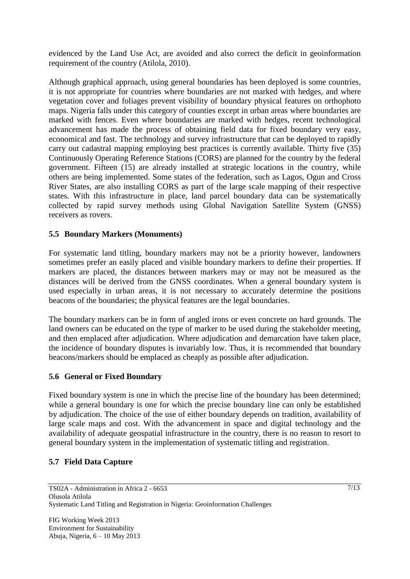evidenced by the Land Use Act, are avoided and also correct the deficit in geoinformation requirement of the country (Atilola, 2010).

Although graphical approach, using general boundaries has been deployed is some countries, it is not appropriate for countries where boundaries are not marked with hedges, and where vegetation cover and foliages prevent visibility of boundary physical features on orthophoto maps. Nigeria falls under this category of counties except in urban areas where boundaries are marked with fences. Even where boundaries are marked with hedges, recent technological advancement has made the process of obtaining field data for fixed boundary very easy, economical and fast. The technology and survey infrastructure that can be deployed to rapidly carry out cadastral mapping employing best practices is currently available. Thirty five (35) Continuously Operating Reference Stations (CORS) are planned for the country by the federal government. Fifteen (15) are already installed at strategic locations in the country, while others are being implemented. Some states of the federation, such as Lagos, Ogun and Cross River States, are also installing CORS as part of the large scale mapping of their respective states. With this infrastructure in place, land parcel boundary data can be systematically collected by rapid survey methods using Global Navigation Satellite System (GNSS) receivers as rovers.

### **5.5 Boundary Markers (Monuments)**

For systematic land titling, boundary markers may not be a priority however, landowners sometimes prefer an easily placed and visible boundary markers to define their properties. If markers are placed, the distances between markers may or may not be measured as the distances will be derived from the GNSS coordinates. When a general boundary system is used especially in urban areas, it is not necessary to accurately determine the positions beacons of the boundaries; the physical features are the legal boundaries.

The boundary markers can be in form of angled irons or even concrete on hard grounds. The land owners can be educated on the type of marker to be used during the stakeholder meeting, and then emplaced after adjudication. Where adjudication and demarcation have taken place, the incidence of boundary disputes is invariably low. Thus, it is recommended that boundary beacons/markers should be emplaced as cheaply as possible after adjudication.

### **5.6 General or Fixed Boundary**

Fixed boundary system is one in which the precise line of the boundary has been determined; while a general boundary is one for which the precise boundary line can only be established by adjudication. The choice of the use of either boundary depends on tradition, availability of large scale maps and cost. With the advancement in space and digital technology and the availability of adequate geospatial infrastructure in the country, there is no reason to resort to general boundary system in the implementation of systematic titling and registration.

### **5.7 Field Data Capture**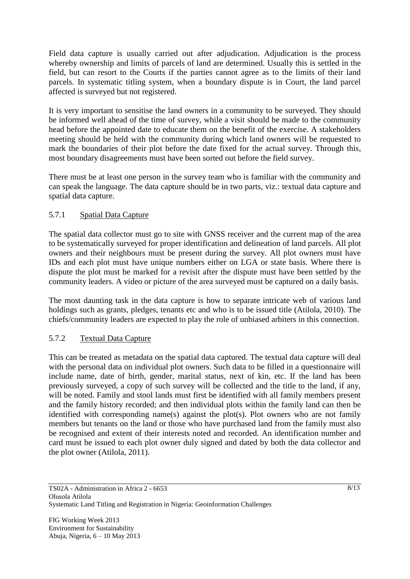Field data capture is usually carried out after adjudication. Adjudication is the process whereby ownership and limits of parcels of land are determined. Usually this is settled in the field, but can resort to the Courts if the parties cannot agree as to the limits of their land parcels. In systematic titling system, when a boundary dispute is in Court, the land parcel affected is surveyed but not registered.

It is very important to sensitise the land owners in a community to be surveyed. They should be informed well ahead of the time of survey, while a visit should be made to the community head before the appointed date to educate them on the benefit of the exercise. A stakeholders meeting should be held with the community during which land owners will be requested to mark the boundaries of their plot before the date fixed for the actual survey. Through this, most boundary disagreements must have been sorted out before the field survey.

There must be at least one person in the survey team who is familiar with the community and can speak the language. The data capture should be in two parts, viz.: textual data capture and spatial data capture.

## 5.7.1 Spatial Data Capture

The spatial data collector must go to site with GNSS receiver and the current map of the area to be systematically surveyed for proper identification and delineation of land parcels. All plot owners and their neighbours must be present during the survey. All plot owners must have IDs and each plot must have unique numbers either on LGA or state basis. Where there is dispute the plot must be marked for a revisit after the dispute must have been settled by the community leaders. A video or picture of the area surveyed must be captured on a daily basis.

The most daunting task in the data capture is how to separate intricate web of various land holdings such as grants, pledges, tenants etc and who is to be issued title (Atilola, 2010). The chiefs/community leaders are expected to play the role of unbiased arbiters in this connection.

### 5.7.2 Textual Data Capture

This can be treated as metadata on the spatial data captured. The textual data capture will deal with the personal data on individual plot owners. Such data to be filled in a questionnaire will include name, date of birth, gender, marital status, next of kin, etc. If the land has been previously surveyed, a copy of such survey will be collected and the title to the land, if any, will be noted. Family and stool lands must first be identified with all family members present and the family history recorded; and then individual plots within the family land can then be identified with corresponding name(s) against the plot(s). Plot owners who are not family members but tenants on the land or those who have purchased land from the family must also be recognised and extent of their interests noted and recorded. An identification number and card must be issued to each plot owner duly signed and dated by both the data collector and the plot owner (Atilola, 2011).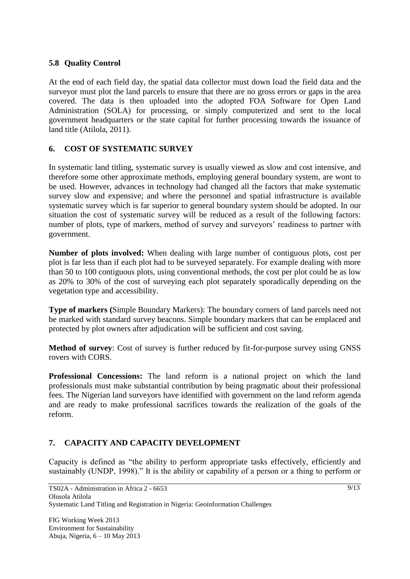### **5.8 Quality Control**

At the end of each field day, the spatial data collector must down load the field data and the surveyor must plot the land parcels to ensure that there are no gross errors or gaps in the area covered. The data is then uploaded into the adopted FOA Software for Open Land Administration (SOLA) for processing, or simply computerized and sent to the local government headquarters or the state capital for further processing towards the issuance of land title (Atilola, 2011).

## **6. COST OF SYSTEMATIC SURVEY**

In systematic land titling, systematic survey is usually viewed as slow and cost intensive, and therefore some other approximate methods, employing general boundary system, are wont to be used. However, advances in technology had changed all the factors that make systematic survey slow and expensive; and where the personnel and spatial infrastructure is available systematic survey which is far superior to general boundary system should be adopted. In our situation the cost of systematic survey will be reduced as a result of the following factors: number of plots, type of markers, method of survey and surveyors' readiness to partner with government.

**Number of plots involved:** When dealing with large number of contiguous plots, cost per plot is far less than if each plot had to be surveyed separately. For example dealing with more than 50 to 100 contiguous plots, using conventional methods, the cost per plot could be as low as 20% to 30% of the cost of surveying each plot separately sporadically depending on the vegetation type and accessibility.

**Type of markers (**Simple Boundary Markers): The boundary corners of land parcels need not be marked with standard survey beacons. Simple boundary markers that can be emplaced and protected by plot owners after adjudication will be sufficient and cost saving.

**Method of survey**: Cost of survey is further reduced by fit-for-purpose survey using GNSS rovers with CORS.

**Professional Concessions:** The land reform is a national project on which the land professionals must make substantial contribution by being pragmatic about their professional fees. The Nigerian land surveyors have identified with government on the land reform agenda and are ready to make professional sacrifices towards the realization of the goals of the reform.

## **7. CAPACITY AND CAPACITY DEVELOPMENT**

Capacity is defined as "the ability to perform appropriate tasks effectively, efficiently and sustainably (UNDP, 1998)." It is the ability or capability of a person or a thing to perform or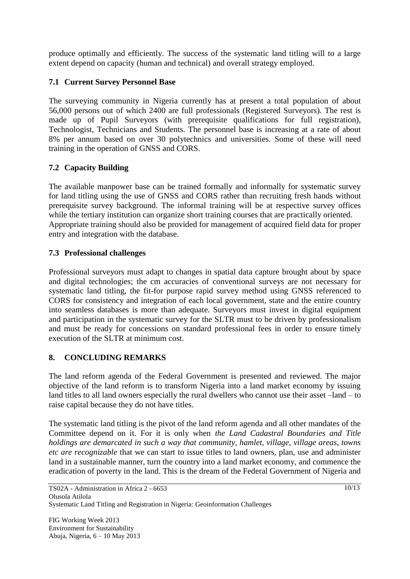produce optimally and efficiently. The success of the systematic land titling will to a large extent depend on capacity (human and technical) and overall strategy employed.

## **7.1 Current Survey Personnel Base**

The surveying community in Nigeria currently has at present a total population of about 56,000 persons out of which 2400 are full professionals (Registered Surveyors). The rest is made up of Pupil Surveyors (with prerequisite qualifications for full registration), Technologist, Technicians and Students. The personnel base is increasing at a rate of about 8% per annum based on over 30 polytechnics and universities. Some of these will need training in the operation of GNSS and CORS.

## **7.2 Capacity Building**

The available manpower base can be trained formally and informally for systematic survey for land titling using the use of GNSS and CORS rather than recruiting fresh hands without prerequisite survey background. The informal training will be at respective survey offices while the tertiary institution can organize short training courses that are practically oriented. Appropriate training should also be provided for management of acquired field data for proper entry and integration with the database.

## **7.3 Professional challenges**

Professional surveyors must adapt to changes in spatial data capture brought about by space and digital technologies; the cm accuracies of conventional surveys are not necessary for systematic land titling, the fit-for purpose rapid survey method using GNSS referenced to CORS for consistency and integration of each local government, state and the entire country into seamless databases is more than adequate. Surveyors must invest in digital equipment and participation in the systematic survey for the SLTR must to be driven by professionalism and must be ready for concessions on standard professional fees in order to ensure timely execution of the SLTR at minimum cost.

# **8. CONCLUDING REMARKS**

The land reform agenda of the Federal Government is presented and reviewed. The major objective of the land reform is to transform Nigeria into a land market economy by issuing land titles to all land owners especially the rural dwellers who cannot use their asset –land – to raise capital because they do not have titles.

The systematic land titling is the pivot of the land reform agenda and all other mandates of the Committee depend on it. For it is only when *the Land Cadastral Boundaries and Title holdings are demarcated in such a way that community, hamlet, village, village areas, towns etc are recognizable* that we can start to issue titles to land owners, plan, use and administer land in a sustainable manner, turn the country into a land market economy, and commence the eradication of poverty in the land. This is the dream of the Federal Government of Nigeria and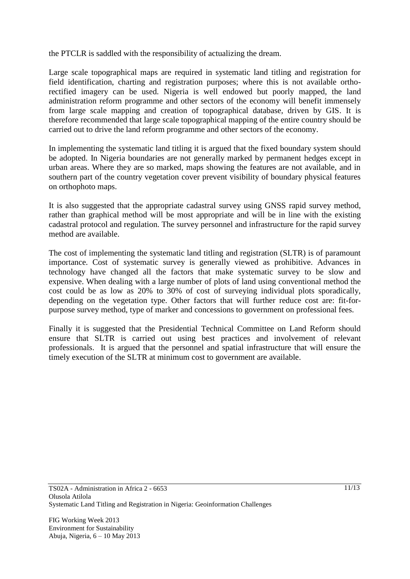the PTCLR is saddled with the responsibility of actualizing the dream.

Large scale topographical maps are required in systematic land titling and registration for field identification, charting and registration purposes; where this is not available orthorectified imagery can be used. Nigeria is well endowed but poorly mapped, the land administration reform programme and other sectors of the economy will benefit immensely from large scale mapping and creation of topographical database, driven by GIS. It is therefore recommended that large scale topographical mapping of the entire country should be carried out to drive the land reform programme and other sectors of the economy.

In implementing the systematic land titling it is argued that the fixed boundary system should be adopted. In Nigeria boundaries are not generally marked by permanent hedges except in urban areas. Where they are so marked, maps showing the features are not available, and in southern part of the country vegetation cover prevent visibility of boundary physical features on orthophoto maps.

It is also suggested that the appropriate cadastral survey using GNSS rapid survey method, rather than graphical method will be most appropriate and will be in line with the existing cadastral protocol and regulation. The survey personnel and infrastructure for the rapid survey method are available.

The cost of implementing the systematic land titling and registration (SLTR) is of paramount importance. Cost of systematic survey is generally viewed as prohibitive. Advances in technology have changed all the factors that make systematic survey to be slow and expensive. When dealing with a large number of plots of land using conventional method the cost could be as low as 20% to 30% of cost of surveying individual plots sporadically, depending on the vegetation type. Other factors that will further reduce cost are: fit-forpurpose survey method, type of marker and concessions to government on professional fees.

Finally it is suggested that the Presidential Technical Committee on Land Reform should ensure that SLTR is carried out using best practices and involvement of relevant professionals. It is argued that the personnel and spatial infrastructure that will ensure the timely execution of the SLTR at minimum cost to government are available.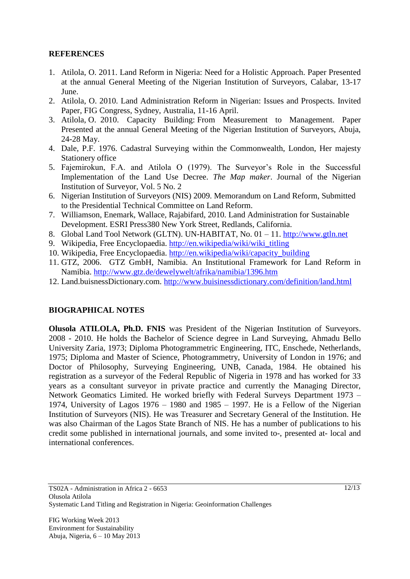### **REFERENCES**

- 1. Atilola, O. 2011. Land Reform in Nigeria: Need for a Holistic Approach. Paper Presented at the annual General Meeting of the Nigerian Institution of Surveyors, Calabar, 13-17 June.
- 2. Atilola, O. 2010. Land Administration Reform in Nigerian: Issues and Prospects. Invited Paper, FIG Congress, Sydney, Australia, 11-16 April.
- 3. Atilola, O. 2010. Capacity Building: From Measurement to Management. Paper Presented at the annual General Meeting of the Nigerian Institution of Surveyors, Abuja, 24-28 May.
- 4. Dale, P.F. 1976. Cadastral Surveying within the Commonwealth, London, Her majesty Stationery office
- 5. Fajemirokun, F.A. and Atilola O (1979). The Surveyor's Role in the Successful Implementation of the Land Use Decree. *The Map maker*. Journal of the Nigerian Institution of Surveyor, Vol. 5 No. 2
- 6. Nigerian Institution of Surveyors (NIS) 2009. Memorandum on Land Reform, Submitted to the Presidential Technical Committee on Land Reform.
- 7. Williamson, Enemark, Wallace, Rajabifard, 2010. Land Administration for Sustainable Development. ESRI Press380 New York Street, Redlands, California.
- 8. Global Land Tool Network (GLTN). UN-HABITAT, No. 01 11. [http://www.gtln.net](http://www.gtln.net/)
- 9. Wikipedia, Free Encyclopaedia. [http://en.wikipedia/wiki/wiki\\_titling](http://en.wikipedia/wiki/wiki_titling)
- 10. Wikipedia, Free Encyclopaedia. [http://en.wikipedia/wiki/capacity\\_building](http://en.wikipedia/wiki/capacity_building)
- 11. GTZ, 2006. GTZ GmbH, Namibia. An Institutional Framework for Land Reform in Namibia.<http://www.gtz.de/dewelywelt/afrika/namibia/1396.htm>
- 12. Land.buisnessDictionary.com.<http://www.buisinessdictionary.com/definition/land.html>

### **BIOGRAPHICAL NOTES**

**Olusola ATILOLA, Ph.D. FNIS** was President of the Nigerian Institution of Surveyors. 2008 - 2010. He holds the Bachelor of Science degree in Land Surveying, Ahmadu Bello University Zaria, 1973; Diploma Photogrammetric Engineering, ITC, Enschede, Netherlands, 1975; Diploma and Master of Science, Photogrammetry, University of London in 1976; and Doctor of Philosophy, Surveying Engineering, UNB, Canada, 1984. He obtained his registration as a surveyor of the Federal Republic of Nigeria in 1978 and has worked for 33 years as a consultant surveyor in private practice and currently the Managing Director, Network Geomatics Limited. He worked briefly with Federal Surveys Department 1973 – 1974, University of Lagos 1976 – 1980 and 1985 – 1997. He is a Fellow of the Nigerian Institution of Surveyors (NIS). He was Treasurer and Secretary General of the Institution. He was also Chairman of the Lagos State Branch of NIS. He has a number of publications to his credit some published in international journals, and some invited to-, presented at- local and international conferences.